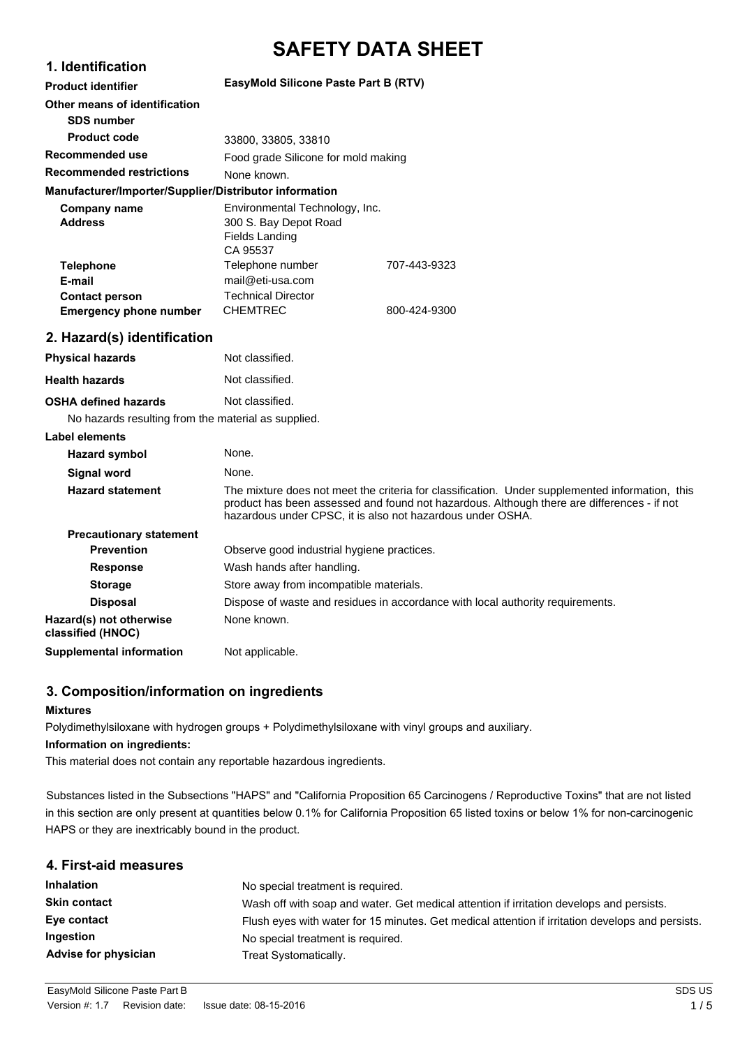# **SAFETY DATA SHEET**

| 1. Identification                                      |                                                                                                                                                                                                                                                             |              |
|--------------------------------------------------------|-------------------------------------------------------------------------------------------------------------------------------------------------------------------------------------------------------------------------------------------------------------|--------------|
| <b>Product identifier</b>                              | EasyMold Silicone Paste Part B (RTV)                                                                                                                                                                                                                        |              |
| Other means of identification<br><b>SDS number</b>     |                                                                                                                                                                                                                                                             |              |
| <b>Product code</b>                                    | 33800, 33805, 33810                                                                                                                                                                                                                                         |              |
| Recommended use                                        | Food grade Silicone for mold making                                                                                                                                                                                                                         |              |
| <b>Recommended restrictions</b>                        | None known.                                                                                                                                                                                                                                                 |              |
| Manufacturer/Importer/Supplier/Distributor information |                                                                                                                                                                                                                                                             |              |
| <b>Company name</b><br><b>Address</b>                  | Environmental Technology, Inc.<br>300 S. Bay Depot Road<br><b>Fields Landing</b><br>CA 95537                                                                                                                                                                |              |
| <b>Telephone</b><br>E-mail                             | Telephone number<br>mail@eti-usa.com                                                                                                                                                                                                                        | 707-443-9323 |
| <b>Contact person</b><br><b>Emergency phone number</b> | <b>Technical Director</b><br><b>CHEMTREC</b>                                                                                                                                                                                                                | 800-424-9300 |
| 2. Hazard(s) identification                            |                                                                                                                                                                                                                                                             |              |
| <b>Physical hazards</b>                                | Not classified.                                                                                                                                                                                                                                             |              |
| <b>Health hazards</b>                                  | Not classified.                                                                                                                                                                                                                                             |              |
| <b>OSHA defined hazards</b>                            | Not classified.                                                                                                                                                                                                                                             |              |
| No hazards resulting from the material as supplied.    |                                                                                                                                                                                                                                                             |              |
| <b>Label elements</b>                                  |                                                                                                                                                                                                                                                             |              |
| <b>Hazard symbol</b>                                   | None.                                                                                                                                                                                                                                                       |              |
| <b>Signal word</b>                                     | None.                                                                                                                                                                                                                                                       |              |
| <b>Hazard statement</b>                                | The mixture does not meet the criteria for classification. Under supplemented information, this<br>product has been assessed and found not hazardous. Although there are differences - if not<br>hazardous under CPSC, it is also not hazardous under OSHA. |              |
| <b>Precautionary statement</b>                         |                                                                                                                                                                                                                                                             |              |
| <b>Prevention</b>                                      | Observe good industrial hygiene practices.                                                                                                                                                                                                                  |              |
| <b>Response</b>                                        | Wash hands after handling.                                                                                                                                                                                                                                  |              |
| <b>Storage</b>                                         | Store away from incompatible materials.                                                                                                                                                                                                                     |              |
| <b>Disposal</b>                                        | Dispose of waste and residues in accordance with local authority requirements.                                                                                                                                                                              |              |
| Hazard(s) not otherwise<br>classified (HNOC)           | None known.                                                                                                                                                                                                                                                 |              |
| <b>Supplemental information</b>                        | Not applicable.                                                                                                                                                                                                                                             |              |

# **3. Composition/information on ingredients**

# **Mixtures**

Polydimethylsiloxane with hydrogen groups + Polydimethylsiloxane with vinyl groups and auxiliary.

#### **Information on ingredients:**

This material does not contain any reportable hazardous ingredients.

Substances listed in the Subsections "HAPS" and "California Proposition 65 Carcinogens / Reproductive Toxins" that are not listed in this section are only present at quantities below 0.1% for California Proposition 65 listed toxins or below 1% for non-carcinogenic HAPS or they are inextricably bound in the product.

| 4. First-aid measures |                                                                                                  |
|-----------------------|--------------------------------------------------------------------------------------------------|
| <b>Inhalation</b>     | No special treatment is required.                                                                |
| <b>Skin contact</b>   | Wash off with soap and water. Get medical attention if irritation develops and persists.         |
| Eye contact           | Flush eyes with water for 15 minutes. Get medical attention if irritation develops and persists. |
| <b>Ingestion</b>      | No special treatment is required.                                                                |
| Advise for physician  | Treat Systomatically.                                                                            |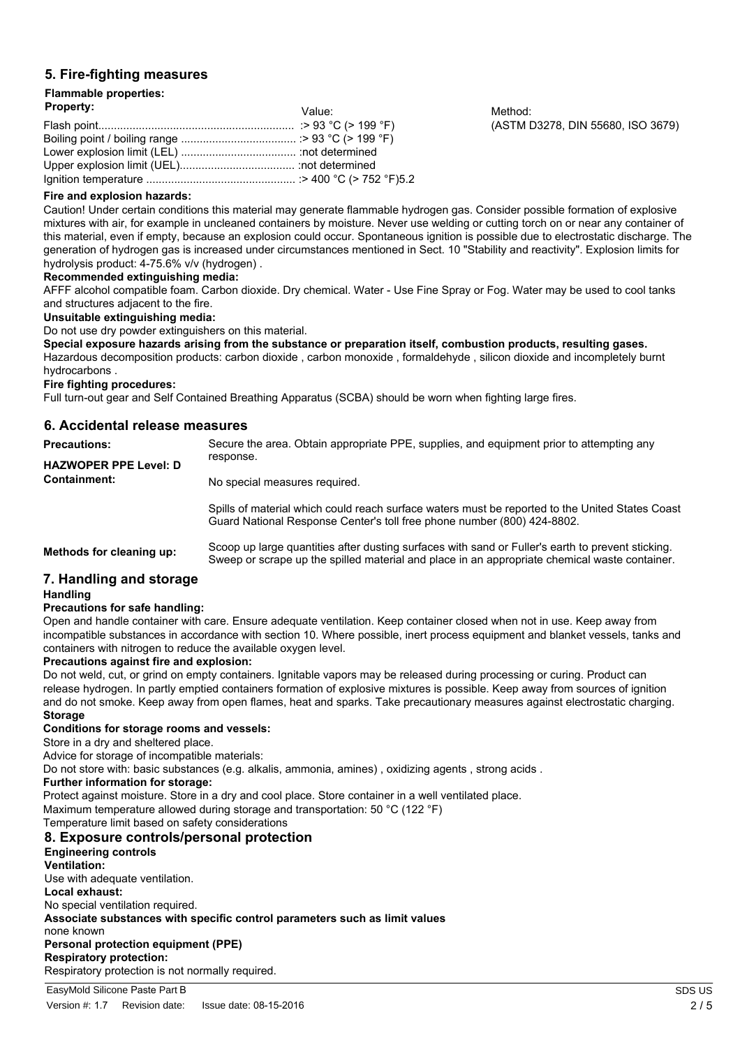# **5. Fire-fighting measures**

#### **Flammable properties: Property:**

| <b>Property:</b> | Value: | Method: |
|------------------|--------|---------|
|                  |        | (ASTM I |
|                  |        |         |
|                  |        |         |
|                  |        |         |
|                  |        |         |

(ASTM D3278, DIN 55680, ISO 3679)

# **Fire and explosion hazards:**

Caution! Under certain conditions this material may generate flammable hydrogen gas. Consider possible formation of explosive mixtures with air, for example in uncleaned containers by moisture. Never use welding or cutting torch on or near any container of this material, even if empty, because an explosion could occur. Spontaneous ignition is possible due to electrostatic discharge. The generation of hydrogen gas is increased under circumstances mentioned in Sect. 10 "Stability and reactivity". Explosion limits for hydrolysis product: 4-75.6% v/v (hydrogen) .

#### **Recommended extinguishing media:**

AFFF alcohol compatible foam. Carbon dioxide. Dry chemical. Water - Use Fine Spray or Fog. Water may be used to cool tanks and structures adjacent to the fire.

#### **Unsuitable extinguishing media:**

Do not use dry powder extinguishers on this material.

**Special exposure hazards arising from the substance or preparation itself, combustion products, resulting gases.** Hazardous decomposition products: carbon dioxide , carbon monoxide , formaldehyde , silicon dioxide and incompletely burnt hydrocarbons .

#### **Fire fighting procedures:**

Full turn-out gear and Self Contained Breathing Apparatus (SCBA) should be worn when fighting large fires.

## **6. Accidental release measures**

| <b>Precautions:</b>          | Secure the area. Obtain appropriate PPE, supplies, and equipment prior to attempting any                                                                                   |
|------------------------------|----------------------------------------------------------------------------------------------------------------------------------------------------------------------------|
| <b>HAZWOPER PPE Level: D</b> | response.                                                                                                                                                                  |
| <b>Containment:</b>          | No special measures required.                                                                                                                                              |
|                              | Spills of material which could reach surface waters must be reported to the United States Coast<br>Guard National Response Center's toll free phone number (800) 424-8802. |

**Methods for cleaning up:** Scoop up large quantities after dusting surfaces with sand or Fuller's earth to prevent sticking. Sweep or scrape up the spilled material and place in an appropriate chemical waste container.

# **7. Handling and storage**

#### **Handling**

#### **Precautions for safe handling:**

Open and handle container with care. Ensure adequate ventilation. Keep container closed when not in use. Keep away from incompatible substances in accordance with section 10. Where possible, inert process equipment and blanket vessels, tanks and containers with nitrogen to reduce the available oxygen level.

#### **Precautions against fire and explosion:**

Do not weld, cut, or grind on empty containers, lanitable vapors may be released during processing or curing. Product can release hydrogen. In partly emptied containers formation of explosive mixtures is possible. Keep away from sources of ignition and do not smoke. Keep away from open flames, heat and sparks. Take precautionary measures against electrostatic charging. **Storage**

#### **Conditions for storage rooms and vessels:**

Store in a dry and sheltered place.

Advice for storage of incompatible materials:

Do not store with: basic substances (e.g. alkalis, ammonia, amines) , oxidizing agents , strong acids .

#### **Further information for storage:**

Protect against moisture. Store in a dry and cool place. Store container in a well ventilated place.

Maximum temperature allowed during storage and transportation: 50 °C (122 °F)

Temperature limit based on safety considerations

# **8. Exposure controls/personal protection**

#### **Engineering controls Ventilation:** Use with adequate ventilation. **Local exhaust:**

No special ventilation required.

**Associate substances with specific control parameters such as limit values**

#### none known

## **Personal protection equipment (PPE)**

**Respiratory protection:** Respiratory protection is not normally required.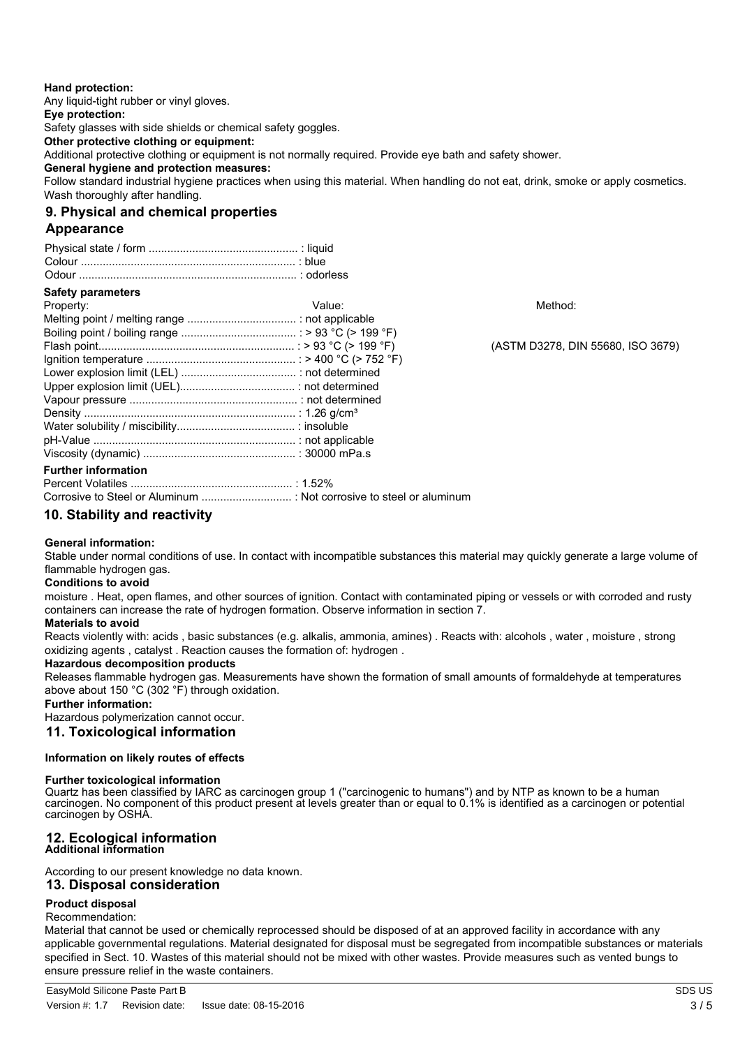### **Hand protection:**

Any liquid-tight rubber or vinyl gloves. **Eye protection:** Safety glasses with side shields or chemical safety goggles. **Other protective clothing or equipment:** Additional protective clothing or equipment is not normally required. Provide eye bath and safety shower. **General hygiene and protection measures:** Follow standard industrial hygiene practices when using this material. When handling do not eat, drink, smoke or apply cosmetics. Wash thoroughly after handling.

# **9. Physical and chemical properties**

# **Appearance**

| <b>Safety parameters</b>   |        |                                   |
|----------------------------|--------|-----------------------------------|
| Property:                  | Value: | Method:                           |
|                            |        |                                   |
|                            |        |                                   |
|                            |        | (ASTM D3278, DIN 55680, ISO 3679) |
|                            |        |                                   |
|                            |        |                                   |
|                            |        |                                   |
|                            |        |                                   |
|                            |        |                                   |
|                            |        |                                   |
|                            |        |                                   |
|                            |        |                                   |
| <b>Further information</b> |        |                                   |
|                            |        |                                   |

Corrosive to Steel or Aluminum ............................. : Not corrosive to steel or aluminum

# **10. Stability and reactivity**

#### **General information:**

Stable under normal conditions of use. In contact with incompatible substances this material may quickly generate a large volume of flammable hydrogen gas.

#### **Conditions to avoid**

moisture . Heat, open flames, and other sources of ignition. Contact with contaminated piping or vessels or with corroded and rusty containers can increase the rate of hydrogen formation. Observe information in section 7.

#### **Materials to avoid**

Reacts violently with: acids , basic substances (e.g. alkalis, ammonia, amines) . Reacts with: alcohols , water , moisture , strong oxidizing agents , catalyst . Reaction causes the formation of: hydrogen .

#### **Hazardous decomposition products**

Releases flammable hydrogen gas. Measurements have shown the formation of small amounts of formaldehyde at temperatures above about 150 °C (302 °F) through oxidation.

# **Further information:**

Hazardous polymerization cannot occur.

**11. Toxicological information**

#### **Information on likely routes of effects**

#### **Further toxicological information**

Quartz has been classified by IARC as carcinogen group 1 ("carcinogenic to humans") and by NTP as known to be a human carcinogen. No component of this product present at levels greater than or equal to 0.1% is identified as a carcinogen or potential carcinogen by OSHA.

# **12. Ecological information**

# **Additional information**

#### According to our present knowledge no data known. **13. Disposal consideration**

# **Product disposal**

#### Recommendation:

Material that cannot be used or chemically reprocessed should be disposed of at an approved facility in accordance with any applicable governmental regulations. Material designated for disposal must be segregated from incompatible substances or materials specified in Sect. 10. Wastes of this material should not be mixed with other wastes. Provide measures such as vented bungs to ensure pressure relief in the waste containers.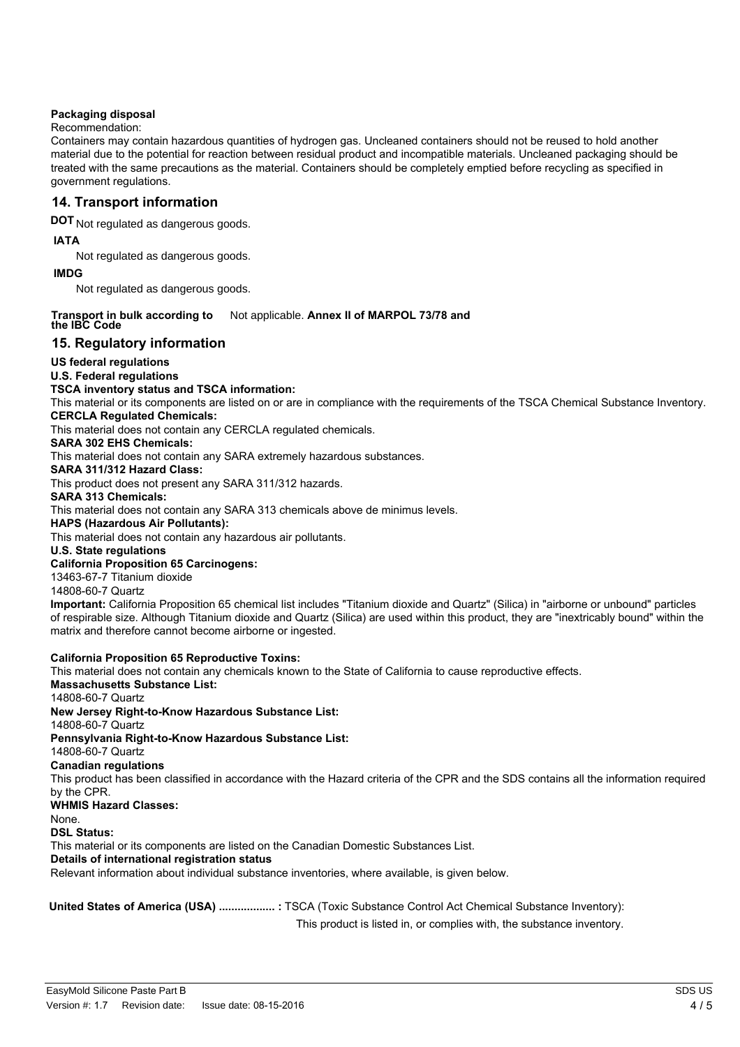## **Packaging disposal**

## Recommendation:

Containers may contain hazardous quantities of hydrogen gas. Uncleaned containers should not be reused to hold another material due to the potential for reaction between residual product and incompatible materials. Uncleaned packaging should be treated with the same precautions as the material. Containers should be completely emptied before recycling as specified in government regulations.

# **14. Transport information**

**DOT** Not regulated as dangerous goods.

#### **IATA**

Not regulated as dangerous goods.

#### **IMDG**

Not regulated as dangerous goods.

#### Not applicable. Annex II of MARPOL 73/78 and **Transport in bulk according to the IBC Code**

# **15. Regulatory information**

## **US federal regulations**

## **U.S. Federal regulations**

#### **TSCA inventory status and TSCA information:**

This material or its components are listed on or are in compliance with the requirements of the TSCA Chemical Substance Inventory. **CERCLA Regulated Chemicals:**

This material does not contain any CERCLA regulated chemicals.

#### **SARA 302 EHS Chemicals:**

This material does not contain any SARA extremely hazardous substances.

**SARA 311/312 Hazard Class:**

This product does not present any SARA 311/312 hazards.

# **SARA 313 Chemicals:**

This material does not contain any SARA 313 chemicals above de minimus levels.

**HAPS (Hazardous Air Pollutants):**

This material does not contain any hazardous air pollutants.

# **U.S. State regulations**

#### **California Proposition 65 Carcinogens:** 13463-67-7 Titanium dioxide

14808-60-7 Quartz

**Important:** California Proposition 65 chemical list includes "Titanium dioxide and Quartz" (Silica) in "airborne or unbound" particles of respirable size. Although Titanium dioxide and Quartz (Silica) are used within this product, they are "inextricably bound" within the matrix and therefore cannot become airborne or ingested.

#### **California Proposition 65 Reproductive Toxins:**

This material does not contain any chemicals known to the State of California to cause reproductive effects.

# **Massachusetts Substance List:**

14808-60-7 Quartz

**New Jersey Right-to-Know Hazardous Substance List:** 14808-60-7 Quartz **Pennsylvania Right-to-Know Hazardous Substance List:** 14808-60-7 Quartz **Canadian regulations** This product has been classified in accordance with the Hazard criteria of the CPR and the SDS contains all the information required by the CPR. **WHMIS Hazard Classes:** None. **DSL Status:** This material or its components are listed on the Canadian Domestic Substances List. **Details of international registration status** Relevant information about individual substance inventories, where available, is given below.

**United States of America (USA) .................. :** TSCA (Toxic Substance Control Act Chemical Substance Inventory):

This product is listed in, or complies with, the substance inventory.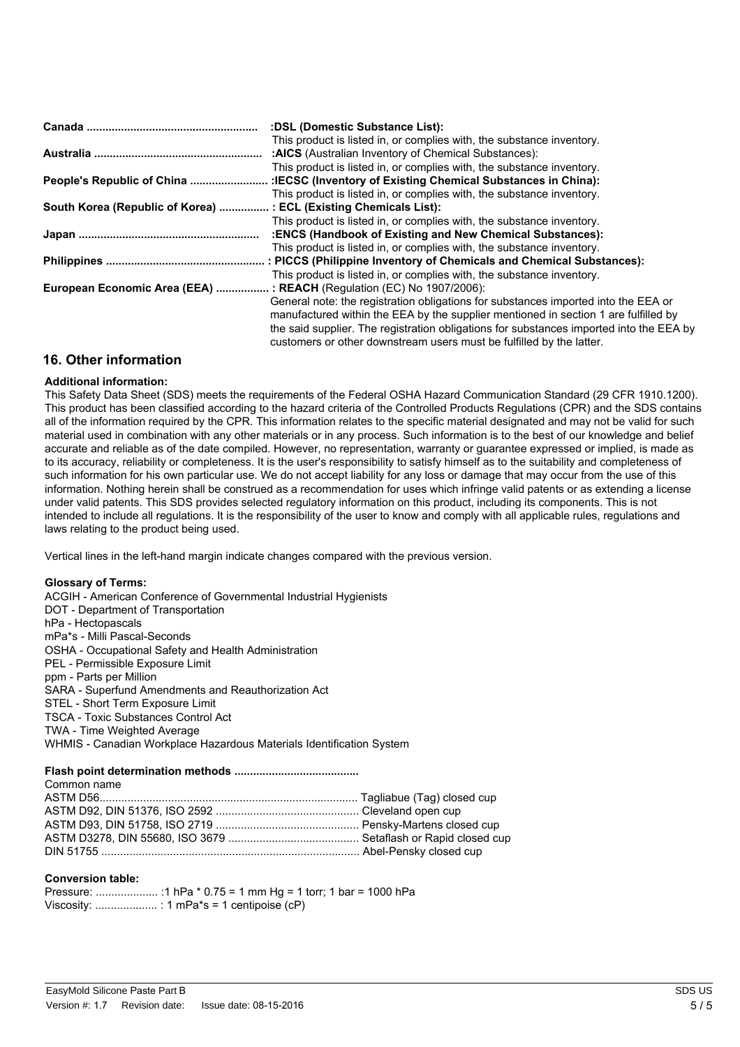|                                                                       | :DSL (Domestic Substance List):                                                         |
|-----------------------------------------------------------------------|-----------------------------------------------------------------------------------------|
|                                                                       | This product is listed in, or complies with, the substance inventory.                   |
|                                                                       | :AICS (Australian Inventory of Chemical Substances):                                    |
|                                                                       | This product is listed in, or complies with, the substance inventory.                   |
|                                                                       | :IECSC (Inventory of Existing Chemical Substances in China):                            |
|                                                                       | This product is listed in, or complies with, the substance inventory.                   |
| South Korea (Republic of Korea)  : ECL (Existing Chemicals List):     |                                                                                         |
|                                                                       | This product is listed in, or complies with, the substance inventory.                   |
|                                                                       | :ENCS (Handbook of Existing and New Chemical Substances):                               |
|                                                                       | This product is listed in, or complies with, the substance inventory.                   |
|                                                                       | : PICCS (Philippine Inventory of Chemicals and Chemical Substances):                    |
|                                                                       | This product is listed in, or complies with, the substance inventory.                   |
| European Economic Area (EEA)  : REACH (Regulation (EC) No 1907/2006): |                                                                                         |
|                                                                       | General note: the registration obligations for substances imported into the EEA or      |
|                                                                       | manufactured within the EEA by the supplier mentioned in section 1 are fulfilled by     |
|                                                                       | the said supplier. The registration obligations for substances imported into the EEA by |
|                                                                       | customers or other downstream users must be fulfilled by the latter.                    |

# **16. Other information**

## **Additional information:**

This Safety Data Sheet (SDS) meets the requirements of the Federal OSHA Hazard Communication Standard (29 CFR 1910.1200). This product has been classified according to the hazard criteria of the Controlled Products Regulations (CPR) and the SDS contains all of the information required by the CPR. This information relates to the specific material designated and may not be valid for such material used in combination with any other materials or in any process. Such information is to the best of our knowledge and belief accurate and reliable as of the date compiled. However, no representation, warranty or guarantee expressed or implied, is made as to its accuracy, reliability or completeness. It is the user's responsibility to satisfy himself as to the suitability and completeness of such information for his own particular use. We do not accept liability for any loss or damage that may occur from the use of this information. Nothing herein shall be construed as a recommendation for uses which infringe valid patents or as extending a license under valid patents. This SDS provides selected regulatory information on this product, including its components. This is not intended to include all regulations. It is the responsibility of the user to know and comply with all applicable rules, regulations and laws relating to the product being used.

Vertical lines in the left-hand margin indicate changes compared with the previous version.

#### **Glossary of Terms:**

ACGIH - American Conference of Governmental Industrial Hygienists DOT - Department of Transportation hPa - Hectopascals mPa\*s - Milli Pascal-Seconds OSHA - Occupational Safety and Health Administration PEL - Permissible Exposure Limit ppm - Parts per Million SARA - Superfund Amendments and Reauthorization Act STEL - Short Term Exposure Limit TSCA - Toxic Substances Control Act TWA - Time Weighted Average WHMIS - Canadian Workplace Hazardous Materials Identification System

#### **Flash point determination methods ........................................**

| Common name |  |
|-------------|--|
|             |  |
|             |  |
|             |  |
|             |  |
|             |  |
|             |  |

#### **Conversion table:**

Pressure: .................... :1 hPa \* 0.75 = 1 mm Hg = 1 torr; 1 bar = 1000 hPa Viscosity: .................... : 1 mPa\*s = 1 centipoise (cP)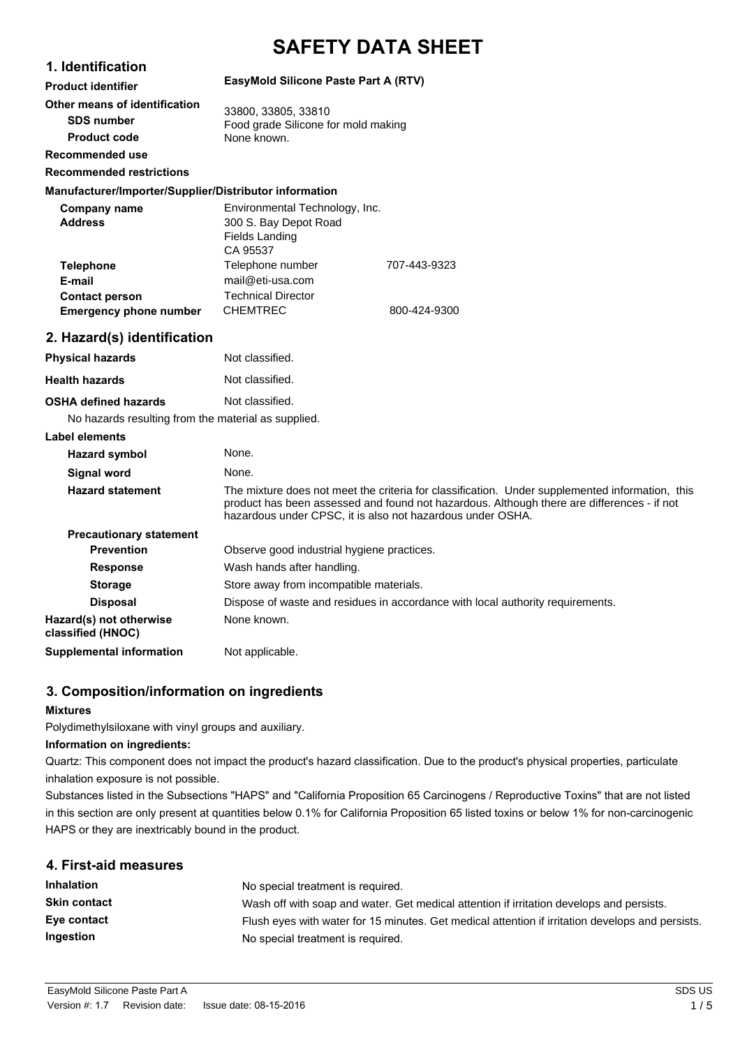# **SAFETY DATA SHEET**

# **1. Identification Product identifier**

## **EasyMold Silicone Paste Part A (RTV)**

| Other means of identification |                                                            |
|-------------------------------|------------------------------------------------------------|
| <b>SDS number</b>             | 33800, 33805, 33810<br>Food grade Silicone for mold making |
| <b>Product code</b>           | None known.                                                |
| Recommended use               |                                                            |

**Recommended restrictions**

## **Manufacturer/Importer/Supplier/Distributor information**

| Company name                  | Environmental Technology, Inc. |              |
|-------------------------------|--------------------------------|--------------|
| <b>Address</b>                | 300 S. Bay Depot Road          |              |
|                               | Fields Landing                 |              |
|                               | CA 95537                       |              |
| <b>Telephone</b>              | Telephone number               | 707-443-9323 |
| E-mail                        | mail@eti-usa.com               |              |
| <b>Contact person</b>         | <b>Technical Director</b>      |              |
| <b>Emergency phone number</b> | <b>CHEMTREC</b>                | 800-424-9300 |

# **2. Hazard(s) identification**

| <b>Physical hazards</b>                             | Not classified.                                                                                                                                                                                                                                             |
|-----------------------------------------------------|-------------------------------------------------------------------------------------------------------------------------------------------------------------------------------------------------------------------------------------------------------------|
| <b>Health hazards</b>                               | Not classified.                                                                                                                                                                                                                                             |
| <b>OSHA defined hazards</b>                         | Not classified.                                                                                                                                                                                                                                             |
| No hazards resulting from the material as supplied. |                                                                                                                                                                                                                                                             |
| Label elements                                      |                                                                                                                                                                                                                                                             |
| Hazard symbol                                       | None.                                                                                                                                                                                                                                                       |
| Signal word                                         | None.                                                                                                                                                                                                                                                       |
| <b>Hazard statement</b>                             | The mixture does not meet the criteria for classification. Under supplemented information, this<br>product has been assessed and found not hazardous. Although there are differences - if not<br>hazardous under CPSC, it is also not hazardous under OSHA. |
| <b>Precautionary statement</b>                      |                                                                                                                                                                                                                                                             |
| <b>Prevention</b>                                   | Observe good industrial hygiene practices.                                                                                                                                                                                                                  |
| <b>Response</b>                                     | Wash hands after handling.                                                                                                                                                                                                                                  |
| <b>Storage</b>                                      | Store away from incompatible materials.                                                                                                                                                                                                                     |
| <b>Disposal</b>                                     | Dispose of waste and residues in accordance with local authority requirements.                                                                                                                                                                              |
| Hazard(s) not otherwise<br>classified (HNOC)        | None known.                                                                                                                                                                                                                                                 |
| <b>Supplemental information</b>                     | Not applicable.                                                                                                                                                                                                                                             |

# **3. Composition/information on ingredients**

# **Mixtures**

Polydimethylsiloxane with vinyl groups and auxiliary.

#### **Information on ingredients:**

Quartz: This component does not impact the product's hazard classification. Due to the product's physical properties, particulate inhalation exposure is not possible.

Substances listed in the Subsections "HAPS" and "California Proposition 65 Carcinogens / Reproductive Toxins" that are not listed in this section are only present at quantities below 0.1% for California Proposition 65 listed toxins or below 1% for non-carcinogenic HAPS or they are inextricably bound in the product.

# **4. First-aid measures**

| <b>Inhalation</b>   | No special treatment is required.                                                                |
|---------------------|--------------------------------------------------------------------------------------------------|
| <b>Skin contact</b> | Wash off with soap and water. Get medical attention if irritation develops and persists.         |
| Eye contact         | Flush eyes with water for 15 minutes. Get medical attention if irritation develops and persists. |
| Ingestion           | No special treatment is required.                                                                |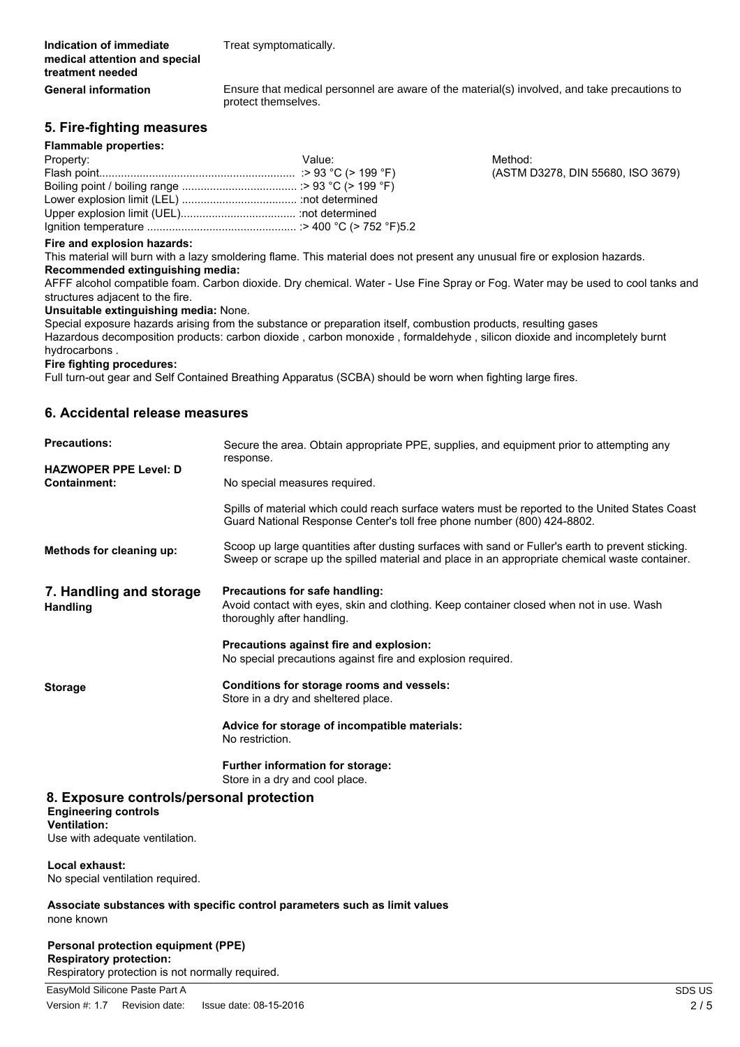Treat symptomatically.

Ensure that medical personnel are aware of the material(s) involved, and take precautions to protect themselves.

# **5. Fire-fighting measures**

#### **Flammable properties:**

**General information**

| Property: | Value: | Method: |
|-----------|--------|---------|
|           |        | (ASTM I |
|           |        |         |
|           |        |         |
|           |        |         |
|           |        |         |

 $(ASTM D3278, DIN 55680, ISO 3679)$ 

#### **Fire and explosion hazards:**

This material will burn with a lazy smoldering flame. This material does not present any unusual fire or explosion hazards. **Recommended extinguishing media:**

AFFF alcohol compatible foam. Carbon dioxide. Dry chemical. Water - Use Fine Spray or Fog. Water may be used to cool tanks and structures adjacent to the fire.

#### **Unsuitable extinguishing media:** None.

Special exposure hazards arising from the substance or preparation itself, combustion products, resulting gases Hazardous decomposition products: carbon dioxide , carbon monoxide , formaldehyde , silicon dioxide and incompletely burnt hydrocarbons .

# **Fire fighting procedures:**

Full turn-out gear and Self Contained Breathing Apparatus (SCBA) should be worn when fighting large fires.

## **6. Accidental release measures**

| <b>Precautions:</b>                                                                                                              | Secure the area. Obtain appropriate PPE, supplies, and equipment prior to attempting any<br>response.                                                                                              |  |
|----------------------------------------------------------------------------------------------------------------------------------|----------------------------------------------------------------------------------------------------------------------------------------------------------------------------------------------------|--|
| <b>HAZWOPER PPE Level: D</b><br><b>Containment:</b>                                                                              | No special measures required.                                                                                                                                                                      |  |
|                                                                                                                                  | Spills of material which could reach surface waters must be reported to the United States Coast<br>Guard National Response Center's toll free phone number (800) 424-8802.                         |  |
| Methods for cleaning up:                                                                                                         | Scoop up large quantities after dusting surfaces with sand or Fuller's earth to prevent sticking.<br>Sweep or scrape up the spilled material and place in an appropriate chemical waste container. |  |
| 7. Handling and storage<br><b>Handling</b>                                                                                       | Precautions for safe handling:<br>Avoid contact with eyes, skin and clothing. Keep container closed when not in use. Wash<br>thoroughly after handling.                                            |  |
|                                                                                                                                  | Precautions against fire and explosion:<br>No special precautions against fire and explosion required.                                                                                             |  |
| <b>Storage</b>                                                                                                                   | Conditions for storage rooms and vessels:<br>Store in a dry and sheltered place.                                                                                                                   |  |
|                                                                                                                                  | Advice for storage of incompatible materials:<br>No restriction.                                                                                                                                   |  |
|                                                                                                                                  | Further information for storage:<br>Store in a dry and cool place.                                                                                                                                 |  |
| 8. Exposure controls/personal protection<br><b>Engineering controls</b><br><b>Ventilation:</b><br>Use with adequate ventilation. |                                                                                                                                                                                                    |  |
| Local exhaust:<br>No special ventilation required.                                                                               |                                                                                                                                                                                                    |  |
| none known                                                                                                                       | Associate substances with specific control parameters such as limit values                                                                                                                         |  |

#### **Personal protection equipment (PPE) Respiratory protection:** Respiratory protection is not normally required.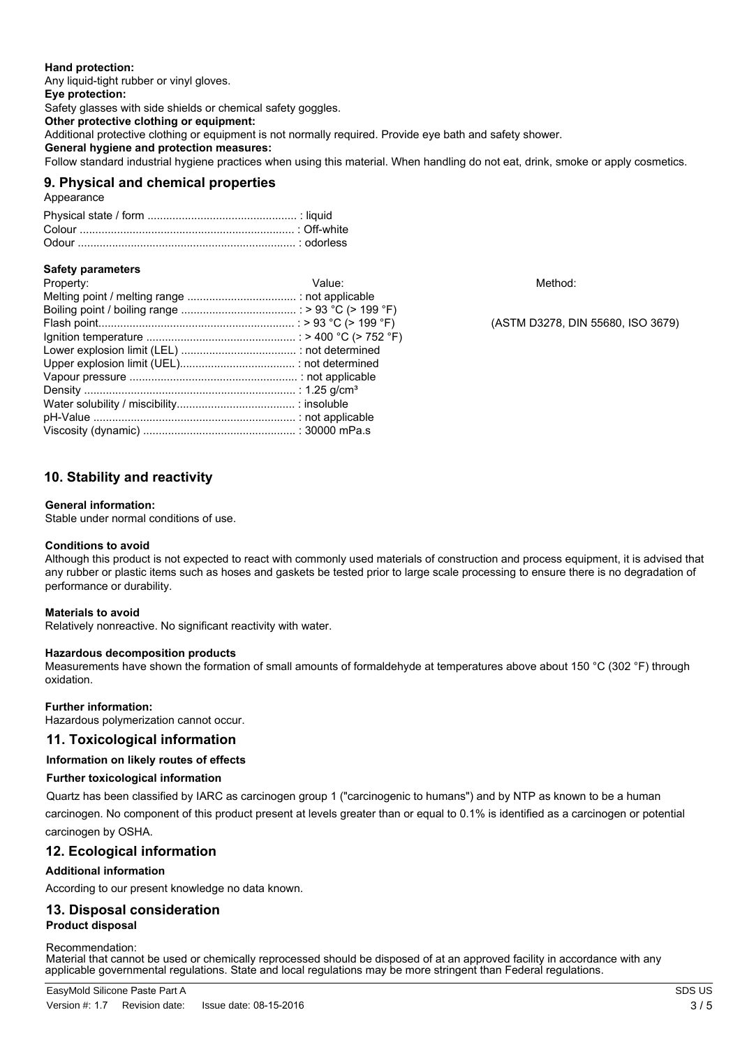#### **Hand protection:**

Any liquid-tight rubber or vinyl gloves. **Eye protection:** Safety glasses with side shields or chemical safety goggles. **Other protective clothing or equipment:** Additional protective clothing or equipment is not normally required. Provide eye bath and safety shower. **General hygiene and protection measures:** Follow standard industrial hygiene practices when using this material. When handling do not eat, drink, smoke or apply cosmetics.

# **9. Physical and chemical properties**

Appearance

# **Safety parameters**

| Property: | Value: | Method:        |
|-----------|--------|----------------|
|           |        |                |
|           |        |                |
|           |        | (ASTM D3278, D |
|           |        |                |
|           |        |                |
|           |        |                |
|           |        |                |
|           |        |                |
|           |        |                |
|           |        |                |
|           |        |                |

(ASTM D3278, DIN 55680, ISO 3679)

# **10. Stability and reactivity**

#### **General information:**

Stable under normal conditions of use.

#### **Conditions to avoid**

Although this product is not expected to react with commonly used materials of construction and process equipment, it is advised that any rubber or plastic items such as hoses and gaskets be tested prior to large scale processing to ensure there is no degradation of performance or durability.

#### **Materials to avoid**

Relatively nonreactive. No significant reactivity with water.

#### **Hazardous decomposition products**

Measurements have shown the formation of small amounts of formaldehyde at temperatures above about 150 °C (302 °F) through oxidation.

# **Further information:**

Hazardous polymerization cannot occur.

# **11. Toxicological information**

#### **Information on likely routes of effects**

# **Further toxicological information**

Quartz has been classified by IARC as carcinogen group 1 ("carcinogenic to humans") and by NTP as known to be a human carcinogen. No component of this product present at levels greater than or equal to 0.1% is identified as a carcinogen or potential carcinogen by OSHA.

# **12. Ecological information**

# **Additional information**

According to our present knowledge no data known.

# **13. Disposal consideration**

# **Product disposal**

#### Recommendation:

Material that cannot be used or chemically reprocessed should be disposed of at an approved facility in accordance with any applicable governmental regulations. State and local regulations may be more stringent than Federal regulations.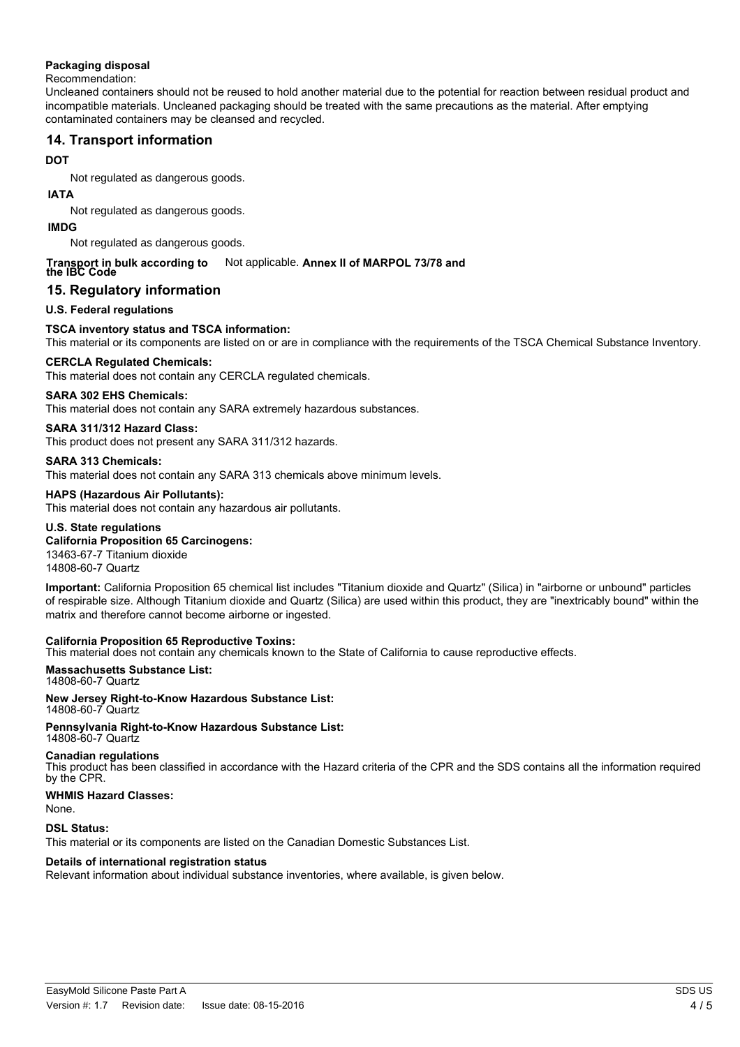## **Packaging disposal**

#### Recommendation:

Uncleaned containers should not be reused to hold another material due to the potential for reaction between residual product and incompatible materials. Uncleaned packaging should be treated with the same precautions as the material. After emptying contaminated containers may be cleansed and recycled.

# **14. Transport information**

# **DOT**

Not regulated as dangerous goods.

### **IATA**

Not regulated as dangerous goods.

## **IMDG**

Not regulated as dangerous goods.

#### Not applicable. Annex II of MARPOL 73/78 and **Transport in bulk according to the IBC Code**

# **15. Regulatory information**

# **U.S. Federal regulations**

# **TSCA inventory status and TSCA information:**

This material or its components are listed on or are in compliance with the requirements of the TSCA Chemical Substance Inventory.

## **CERCLA Regulated Chemicals:**

This material does not contain any CERCLA regulated chemicals.

## **SARA 302 EHS Chemicals:**

This material does not contain any SARA extremely hazardous substances.

## **SARA 311/312 Hazard Class:**

This product does not present any SARA 311/312 hazards.

## **SARA 313 Chemicals:**

This material does not contain any SARA 313 chemicals above minimum levels.

## **HAPS (Hazardous Air Pollutants):**

This material does not contain any hazardous air pollutants.

## **U.S. State regulations**

## **California Proposition 65 Carcinogens:**

13463-67-7 Titanium dioxide 14808-60-7 Quartz

**Important:** California Proposition 65 chemical list includes "Titanium dioxide and Quartz" (Silica) in "airborne or unbound" particles of respirable size. Although Titanium dioxide and Quartz (Silica) are used within this product, they are "inextricably bound" within the matrix and therefore cannot become airborne or ingested.

#### **California Proposition 65 Reproductive Toxins:**

This material does not contain any chemicals known to the State of California to cause reproductive effects.

#### **Massachusetts Substance List:** 14808-60-7 Quartz

**New Jersey Right-to-Know Hazardous Substance List:** 14808-60-7 Quartz

**Pennsylvania Right-to-Know Hazardous Substance List:** 14808-60-7 Quartz

#### **Canadian regulations**

This product has been classified in accordance with the Hazard criteria of the CPR and the SDS contains all the information required by the CPR.

# **WHMIS Hazard Classes:**

None.

#### **DSL Status:**

This material or its components are listed on the Canadian Domestic Substances List.

# **Details of international registration status**

Relevant information about individual substance inventories, where available, is given below.